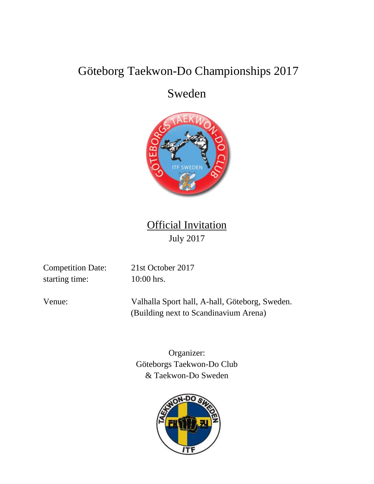# Göteborg Taekwon-Do Championships 2017

# Sweden



**Official Invitation** July 2017

Competition Date: 21st October 2017 starting time: 10:00 hrs.

Venue: Valhalla Sport hall, A-hall, Göteborg, Sweden. (Building next to Scandinavium Arena)

> Organizer: Göteborgs Taekwon-Do Club & Taekwon-Do Sweden

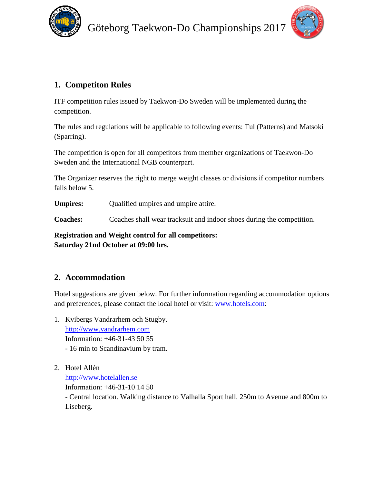



# **1. Competiton Rules**

ITF competition rules issued by Taekwon-Do Sweden will be implemented during the competition.

The rules and regulations will be applicable to following events: Tul (Patterns) and Matsoki (Sparring).

The competition is open for all competitors from member organizations of Taekwon-Do Sweden and the International NGB counterpart.

The Organizer reserves the right to merge weight classes or divisions if competitor numbers falls below 5.

**Umpires:** Qualified umpires and umpire attire.

**Coaches:** Coaches shall wear tracksuit and indoor shoes during the competition.

**Registration and Weight control for all competitors: Saturday 21nd October at 09:00 hrs.**

## **2. Accommodation**

Hotel suggestions are given below. For further information regarding accommodation options and preferences, please contact the local hotel or visit: [www.hotels.com:](http://www.hotels.com/)

- 1. Kvibergs Vandrarhem och Stugby. [http://www.vandrarhem.com](http://www.vandrarhem.com/) Information: +46-31-43 50 55 - 16 min to Scandinavium by tram.
- 2. Hotel Allén

[http://www.hotelallen.se](http://www.hotelallen.se/)

Information: +46-31-10 14 50

- Central location. Walking distance to Valhalla Sport hall. 250m to Avenue and 800m to Liseberg.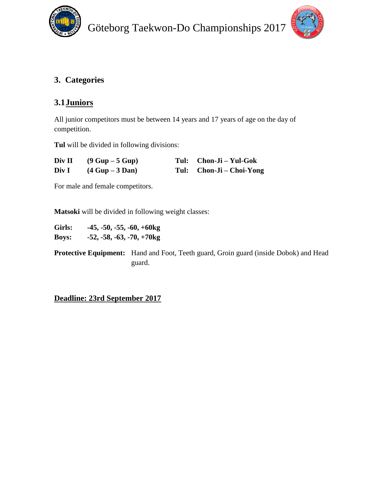



# **3. Categories**

# **3.1Juniors**

All junior competitors must be between 14 years and 17 years of age on the day of competition.

**Tul** will be divided in following divisions:

| Div II | $(9 Gup - 5 Gup)$ | Tul: Chon-Ji – Yul-Gok   |
|--------|-------------------|--------------------------|
| Div I  | $(4 Gup - 3 Dan)$ | Tul: Chon-Ji – Choi-Yong |

For male and female competitors.

**Matsoki** will be divided in following weight classes:

| Girls:       | $-45, -50, -55, -60, +60kg$ |
|--------------|-----------------------------|
| <b>Boys:</b> | $-52, -58, -63, -70, +70kg$ |

**Protective Equipment:** Hand and Foot, Teeth guard, Groin guard (inside Dobok) and Head guard.

**Deadline: 23rd September 2017**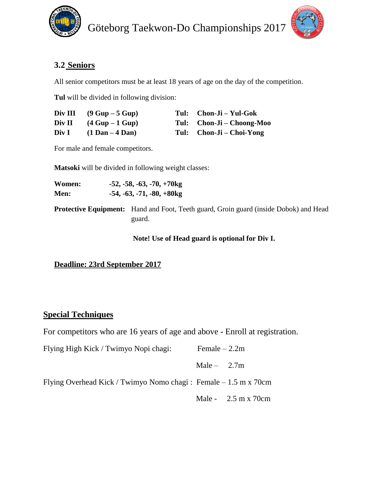



# **3.2 Seniors**

All senior competitors must be at least 18 years of age on the day of the competition.

**Tul** will be divided in following division:

|        | Div III $(9 \text{ Gup} - 5 \text{ Gup})$ | Tul: Chon-Ji – Yul-Gok    |
|--------|-------------------------------------------|---------------------------|
| Div II | $(4 Gup - 1 Gup)$                         | Tul: Chon-Ji – Choong-Moo |
| Div I  | $(1$ Dan $-$ 4 Dan)                       | Tul: Chon-Ji – Choi-Yong  |

For male and female competitors.

**Matsoki** will be divided in following weight classes:

| Women:<br>Men: | $-52, -58, -63, -70, +70$<br>$-54, -63, -71, -80, +80$ kg                                              |
|----------------|--------------------------------------------------------------------------------------------------------|
|                | <b>Protective Equipment:</b> Hand and Foot, Teeth guard, Groin guard (inside Dobok) and Head<br>guard. |

**Note! Use of Head guard is optional for Div I.**

## **Deadline: 23rd September 2017**

### **Special Techniques**

For competitors who are 16 years of age and above - Enroll at registration.

| Flying High Kick / Twimyo Nopi chagi:                             | Female $-2.2m$ |                                             |
|-------------------------------------------------------------------|----------------|---------------------------------------------|
|                                                                   | Male $-2.7m$   |                                             |
| Flying Overhead Kick / Twimyo Nomo chagi : Female $-1.5$ m x 70cm |                |                                             |
|                                                                   |                | Male - $2.5 \text{ m} \times 70 \text{ cm}$ |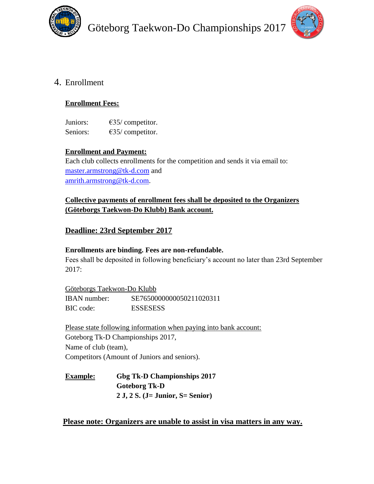



## 4. Enrollment

#### **Enrollment Fees:**

Juniors: €35/ competitor. Seniors:  $\epsilon$ 35/ competitor.

#### **Enrollment and Payment:**

Each club collects enrollments for the competition and sends it via email to: [master.armstrong@tk-d.com](mailto:master.armstrong@tk-d.com) and [amrith.armstrong@tk-d.com.](mailto:amrith.armstrong@tk-d.com)

### **Collective payments of enrollment fees shall be deposited to the Organizers (Göteborgs Taekwon-Do Klubb) Bank account.**

### **Deadline: 23rd September 2017**

#### **Enrollments are binding. Fees are non-refundable.**

Fees shall be deposited in following beneficiary's account no later than 23rd September 2017:

Göteborgs Taekwon-Do Klubb IBAN number: SE7650000000050211020311 BIC code: ESSESESS

Please state following information when paying into bank account: Goteborg Tk-D Championships 2017, Name of club (team), Competitors (Amount of Juniors and seniors).

**Example: Gbg Tk-D Championships 2017 Goteborg Tk-D 2 J, 2 S. (J= Junior, S= Senior)**

#### **Please note: Organizers are unable to assist in visa matters in any way.**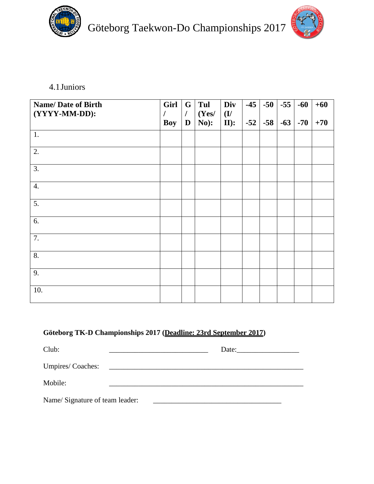

Göteborg Taekwon-Do Championships 2017



4.1Juniors

| <b>Name/Date of Birth</b><br>(YYYY-MM-DD): | Girl<br><b>Boy</b> | G<br>$\prime$<br>$\mathbf{D}$ | Tul<br>(Yes/<br>No): | Div<br>$\mathbf{U}$<br>$II$ : | $-45$<br>$-52$ | $-50$<br>$-58$ | $-55$<br>$-63$ | $-60$<br>$-70$ | $+60$<br>$+70$ |
|--------------------------------------------|--------------------|-------------------------------|----------------------|-------------------------------|----------------|----------------|----------------|----------------|----------------|
| 1.                                         |                    |                               |                      |                               |                |                |                |                |                |
| 2.                                         |                    |                               |                      |                               |                |                |                |                |                |
| 3.                                         |                    |                               |                      |                               |                |                |                |                |                |
| $\overline{4}$ .                           |                    |                               |                      |                               |                |                |                |                |                |
| 5.                                         |                    |                               |                      |                               |                |                |                |                |                |
| 6.                                         |                    |                               |                      |                               |                |                |                |                |                |
| 7.                                         |                    |                               |                      |                               |                |                |                |                |                |
| 8.                                         |                    |                               |                      |                               |                |                |                |                |                |
| 9.                                         |                    |                               |                      |                               |                |                |                |                |                |
| 10.                                        |                    |                               |                      |                               |                |                |                |                |                |

## **Göteborg TK-D Championships 2017 (Deadline: 23rd September 2017)**

| Club:                          |                                                                                                                       | Date: |  |
|--------------------------------|-----------------------------------------------------------------------------------------------------------------------|-------|--|
| Umpires/Coaches:               | <u> 1980 - Andrea Albert III, político establecente de la propia de la propia de la propia de la propia de la pro</u> |       |  |
| Mobile:                        |                                                                                                                       |       |  |
| Name/Signature of team leader: |                                                                                                                       |       |  |